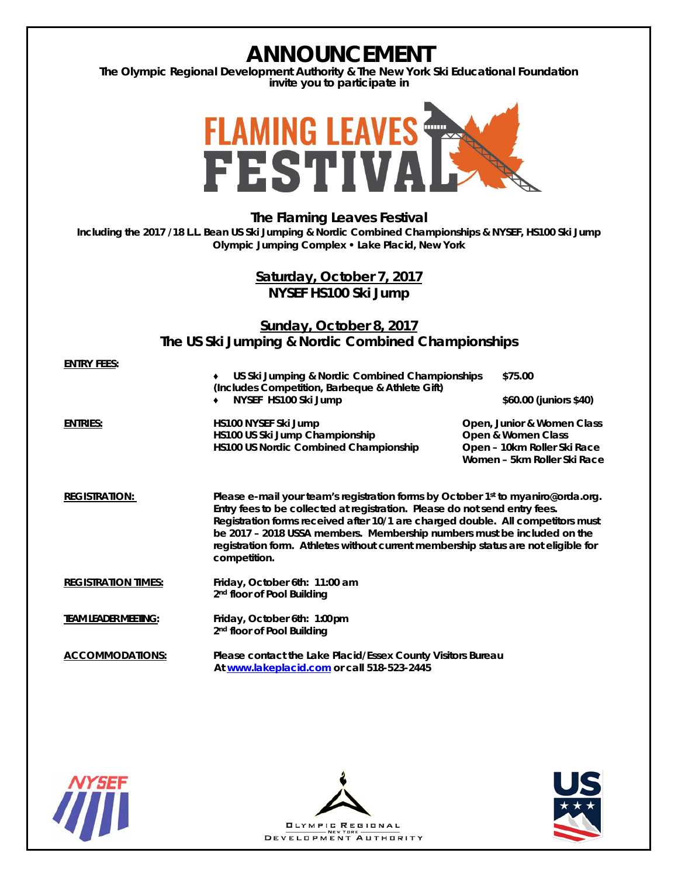## **ANNOUNCEMENT The Olympic Regional Development Authority & The New York Ski Educational Foundation invite you to participate in FLAMING LEAVES<br>FESTIVA The Flaming Leaves Festival Including the 2017 /18 L.L. Bean US Ski Jumping & Nordic Combined Championships & NYSEF, HS100 Ski Jump Olympic Jumping Complex • Lake Placid, New York Saturday, October 7, 2017 NYSEF HS100 Ski Jump Sunday, October 8, 2017 The US Ski Jumping & Nordic Combined Championships ENTRY FEES:** ♦ **US Ski Jumping & Nordic Combined Championships \$75.00** *(Includes Competition, Barbeque & Athlete Gift)* ♦ **NYSEF HS100 Ski Jump \$60.00 (juniors \$40) ENTRIES:** *HS100* **NYSEF Ski Jump Open, Junior & Women Class HS10***0* **US Ski Jump Championship Open & Women Class** *HS100* **US Nordic Combined Championship Open – 10km Roller Ski Race Women – 5km Roller Ski Race REGISTRATION: Please e-mail your team's registration forms by October 1st to myaniro@orda.org. Entry fees to be collected at registration. Please do not send entry fees. Registration forms received after 10/1 are charged double. All competitors must be 2017 – 2018 USSA members. Membership numbers must be included on the registration form. Athletes without current membership status are not eligible for competition. REGISTRATION TIMES: Friday, October 6th: 11:00 am 2nd floor of Pool Building TEAM LEADER MEETING: Friday, October 6th: 1:00 pm 2nd floor of Pool Building ACCOMMODATIONS: Please contact the Lake Placid/Essex County Visitors Bureau At [www.lakeplacid.com](http://www.lakeplacid.com/) or call 518-523-2445**





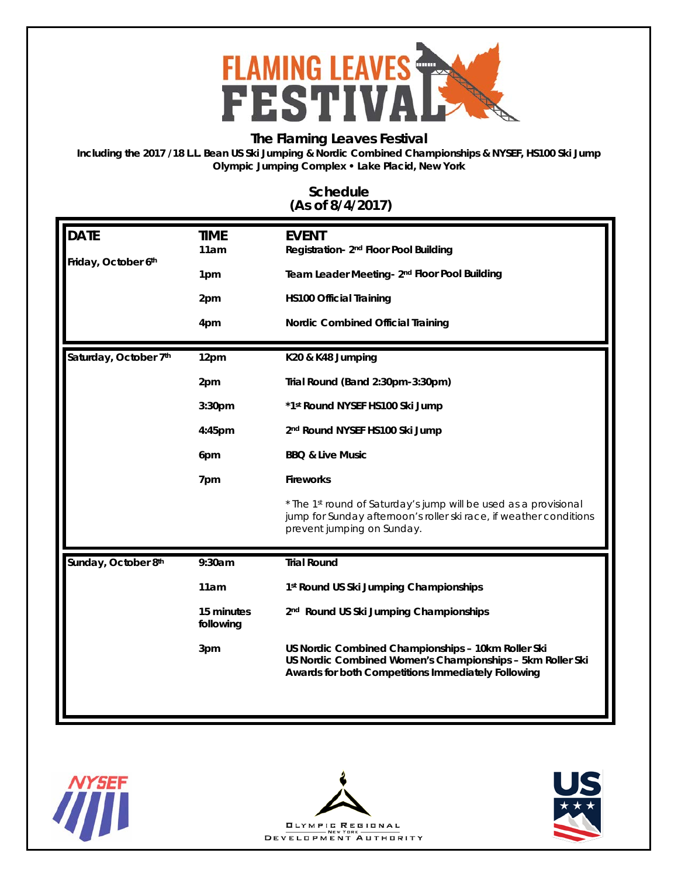

## **The Flaming Leaves Festival**

**Including the 2017 /18 L.L. Bean US Ski Jumping & Nordic Combined Championships & NYSEF, HS100 Ski Jump Olympic Jumping Complex • Lake Placid, New York**

## **Schedule (As of 8/4/2017)**

| <b>DATE</b>           | <b>TIME</b>             | <b>EVENT</b>                                                                                                                                                          |  |
|-----------------------|-------------------------|-----------------------------------------------------------------------------------------------------------------------------------------------------------------------|--|
|                       | 11am                    | Registration- 2 <sup>nd</sup> Floor Pool Building                                                                                                                     |  |
| Friday, October 6th   | 1pm                     | Team Leader Meeting- 2 <sup>nd</sup> Floor Pool Building                                                                                                              |  |
|                       |                         |                                                                                                                                                                       |  |
|                       | 2pm                     | <b>HS100 Official Training</b>                                                                                                                                        |  |
|                       | 4pm                     | Nordic Combined Official Training                                                                                                                                     |  |
| Saturday, October 7th | 12pm                    | K20 & K48 Jumping                                                                                                                                                     |  |
|                       | 2pm                     | Trial Round (Band 2:30pm-3:30pm)                                                                                                                                      |  |
|                       | 3:30 <sub>pm</sub>      | *1st Round NYSEF HS100 Ski Jump                                                                                                                                       |  |
|                       | 4:45pm                  | 2nd Round NYSEF HS100 Ski Jump                                                                                                                                        |  |
|                       | 6pm                     | <b>BBQ &amp; Live Music</b>                                                                                                                                           |  |
|                       | 7pm                     | <b>Fireworks</b>                                                                                                                                                      |  |
|                       |                         | * The 1st round of Saturday's jump will be used as a provisional<br>jump for Sunday afternoon's roller ski race, if weather conditions<br>prevent jumping on Sunday.  |  |
| Sunday, October 8th   | 9:30am                  | <b>Trial Round</b>                                                                                                                                                    |  |
|                       | 11am                    | 1st Round US Ski Jumping Championships                                                                                                                                |  |
|                       | 15 minutes<br>following | 2 <sup>nd</sup> Round US Ski Jumping Championships                                                                                                                    |  |
|                       | 3pm                     | US Nordic Combined Championships - 10km Roller Ski<br>US Nordic Combined Women's Championships - 5km Roller Ski<br>Awards for both Competitions Immediately Following |  |